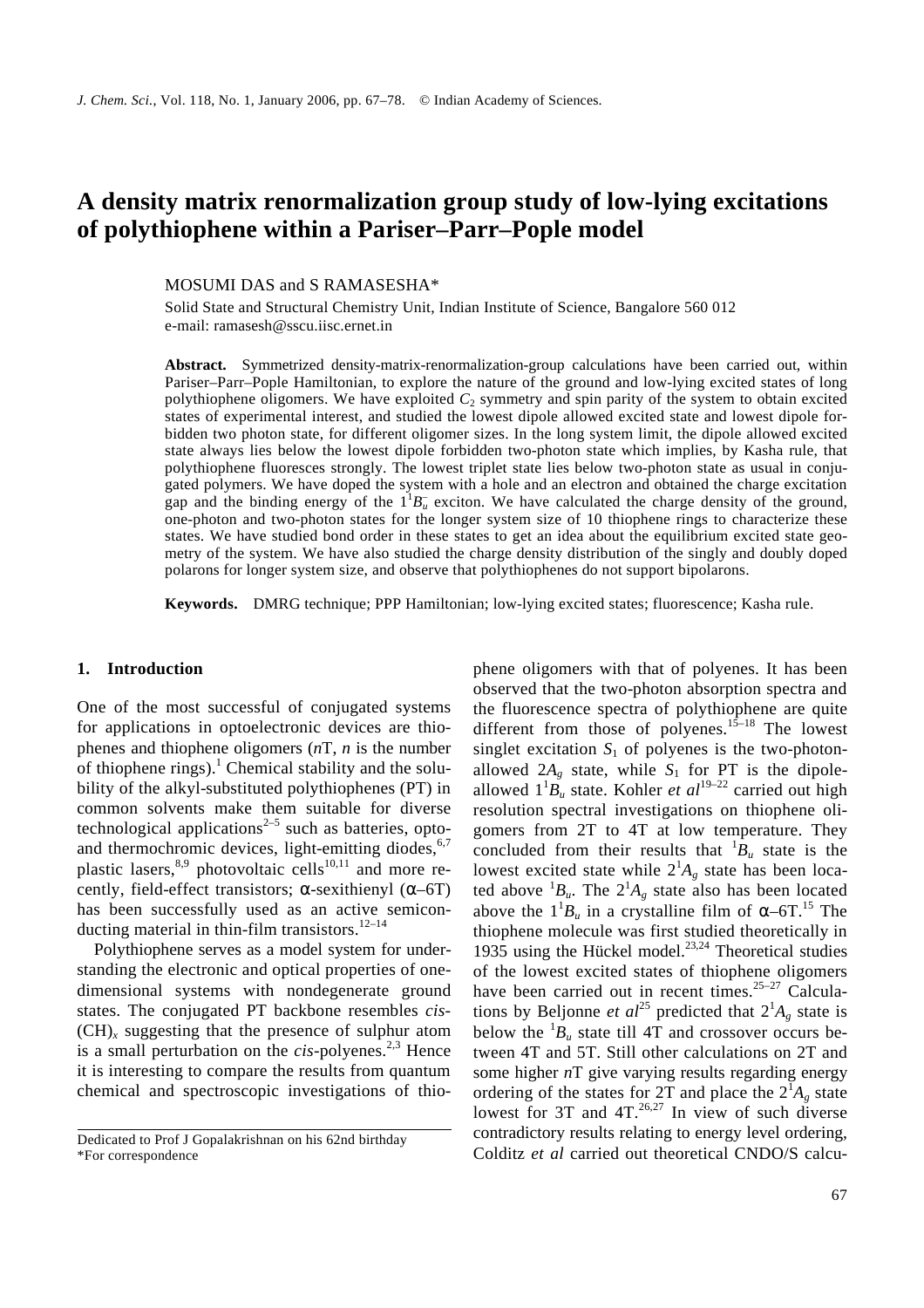# **A density matrix renormalization group study of low-lying excitations of polythiophene within a Pariser–Parr–Pople model**

MOSUMI DAS and S RAMASESHA\*

Solid State and Structural Chemistry Unit, Indian Institute of Science, Bangalore 560 012 e-mail: ramasesh@sscu.iisc.ernet.in

**Abstract.** Symmetrized density-matrix-renormalization-group calculations have been carried out, within Pariser–Parr–Pople Hamiltonian, to explore the nature of the ground and low-lying excited states of long polythiophene oligomers. We have exploited *C*<sup>2</sup> symmetry and spin parity of the system to obtain excited states of experimental interest, and studied the lowest dipole allowed excited state and lowest dipole forbidden two photon state, for different oligomer sizes. In the long system limit, the dipole allowed excited state always lies below the lowest dipole forbidden two-photon state which implies, by Kasha rule, that polythiophene fluoresces strongly. The lowest triplet state lies below two-photon state as usual in conjugated polymers. We have doped the system with a hole and an electron and obtained the charge excitation gap and the binding energy of the  $1^1B_u$  exciton. We have calculated the charge density of the ground, one-photon and two-photon states for the longer system size of 10 thiophene rings to characterize these states. We have studied bond order in these states to get an idea about the equilibrium excited state geometry of the system. We have also studied the charge density distribution of the singly and doubly doped polarons for longer system size, and observe that polythiophenes do not support bipolarons.

**Keywords.** DMRG technique; PPP Hamiltonian; low-lying excited states; fluorescence; Kasha rule.

## **1. Introduction**

One of the most successful of conjugated systems for applications in optoelectronic devices are thiophenes and thiophene oligomers (*n*T, *n* is the number of thiophene rings). $<sup>1</sup>$  Chemical stability and the solu-</sup> bility of the alkyl-substituted polythiophenes (PT) in common solvents make them suitable for diverse technological applications $2-5$  such as batteries, optoand thermochromic devices, light-emitting diodes, $6,7$ plastic lasers, $8,9$  photovoltaic cells<sup>10,11</sup> and more recently, field-effect transistors; *a*-sexithienyl (*a*–6T) has been successfully used as an active semiconducting material in thin-film transistors. $12-14$ 

Polythiophene serves as a model system for understanding the electronic and optical properties of onedimensional systems with nondegenerate ground states. The conjugated PT backbone resembles *cis-*  $(CH)$ <sub>x</sub> suggesting that the presence of sulphur atom is a small perturbation on the *cis-polyenes*.<sup>2,3</sup> Hence it is interesting to compare the results from quantum chemical and spectroscopic investigations of thiophene oligomers with that of polyenes. It has been observed that the two-photon absorption spectra and the fluorescence spectra of polythiophene are quite different from those of polyenes.<sup>15–18</sup> The lowest singlet excitation  $S_1$  of polyenes is the two-photonallowed  $2A_g$  state, while  $S_1$  for PT is the dipoleallowed  $1^1B_u$  state. Kohler *et al*<sup>19–22</sup> carried out high resolution spectral investigations on thiophene oligomers from 2T to 4T at low temperature. They concluded from their results that  ${}^{1}B_u$  state is the lowest excited state while  $2^{1}A_{g}$  state has been located above  ${}^{1}B_u$ . The  $2{}^{1}A_g$  state also has been located above the  $1^1B_u$  in a crystalline film of  $a$ –6T.<sup>15</sup> The thiophene molecule was first studied theoretically in 1935 using the Hückel model. $^{23,24}$  Theoretical studies of the lowest excited states of thiophene oligomers have been carried out in recent times.<sup>25-27</sup> Calculations by Beljonne *et al*<sup>25</sup> predicted that  $2^1A_g$  state is below the  ${}^{1}B_u$  state till 4T and crossover occurs between 4T and 5T. Still other calculations on 2T and some higher *n*T give varying results regarding energy ordering of the states for 2T and place the  $2^{1}A_{g}$  state lowest for 3T and  $4T^{26,27}$  In view of such diverse contradictory results relating to energy level ordering, Colditz *et al* carried out theoretical CNDO/S calcu-

Dedicated to Prof J Gopalakrishnan on his 62nd birthday \*For correspondence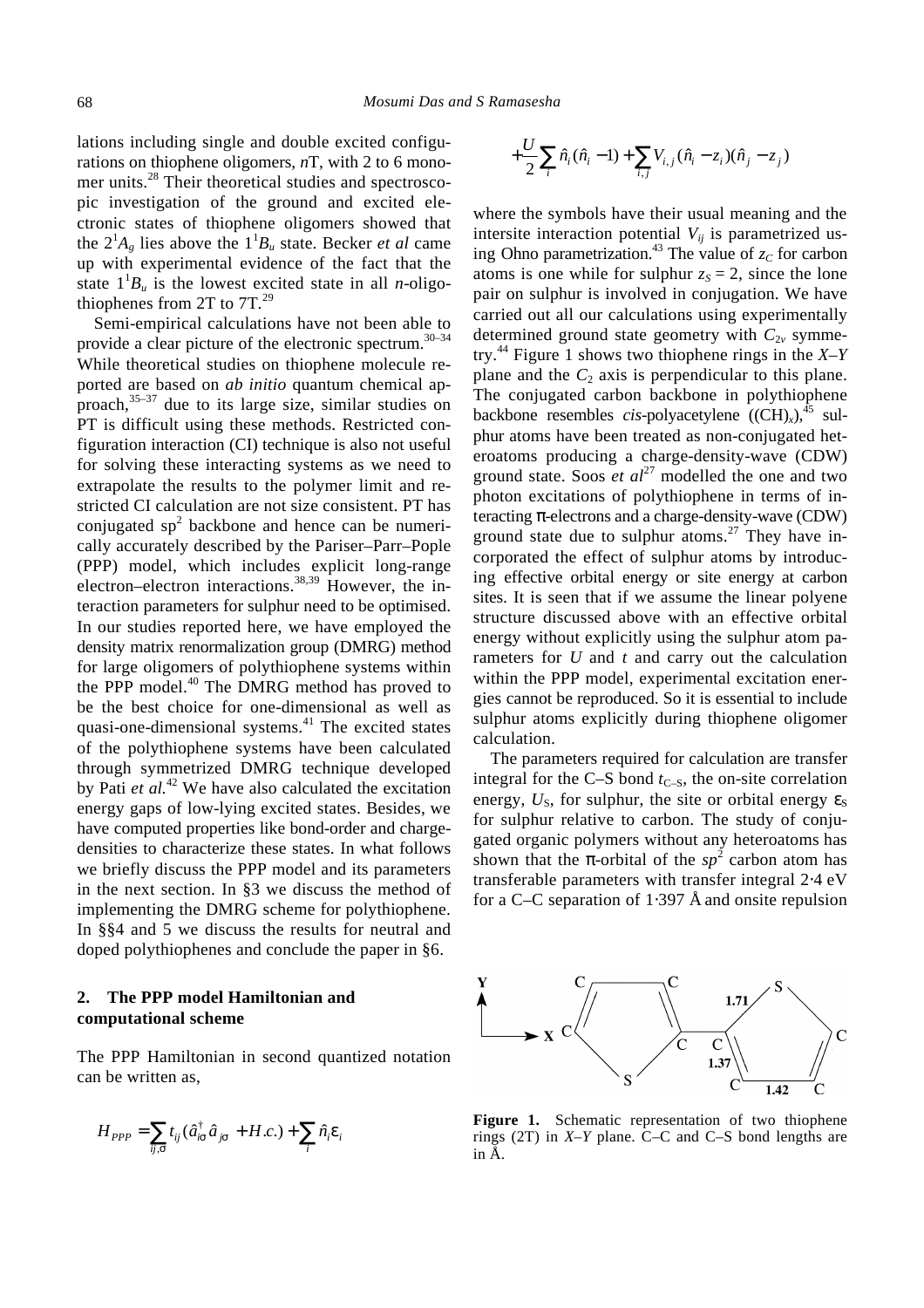lations including single and double excited configurations on thiophene oligomers, *n*T, with 2 to 6 monomer units.<sup>28</sup> Their theoretical studies and spectroscopic investigation of the ground and excited electronic states of thiophene oligomers showed that the  $2^1A_g$  lies above the  $1^1B_g$  state. Becker *et al* came up with experimental evidence of the fact that the state  $1^1B_u$  is the lowest excited state in all *n*-oligothiophenes from 2T to 7T*.* 29

Semi-empirical calculations have not been able to provide a clear picture of the electronic spectrum.<sup>30-34</sup> While theoretical studies on thiophene molecule reported are based on *ab initio* quantum chemical approach,  $35-37$  due to its large size, similar studies on PT is difficult using these methods. Restricted configuration interaction (CI) technique is also not useful for solving these interacting systems as we need to extrapolate the results to the polymer limit and restricted CI calculation are not size consistent. PT has conjugated  $sp^2$  backbone and hence can be numerically accurately described by the Pariser–Parr–Pople (PPP) model, which includes explicit long-range electron–electron interactions.38,39 However, the interaction parameters for sulphur need to be optimised. In our studies reported here, we have employed the density matrix renormalization group (DMRG) method for large oligomers of polythiophene systems within the PPP model.<sup>40</sup> The DMRG method has proved to be the best choice for one-dimensional as well as quasi-one-dimensional systems.<sup>41</sup> The excited states of the polythiophene systems have been calculated through symmetrized DMRG technique developed by Pati *et al.*<sup>42</sup> We have also calculated the excitation energy gaps of low-lying excited states. Besides, we have computed properties like bond-order and chargedensities to characterize these states. In what follows we briefly discuss the PPP model and its parameters in the next section. In §3 we discuss the method of implementing the DMRG scheme for polythiophene. In §§4 and 5 we discuss the results for neutral and doped polythiophenes and conclude the paper in §6.

# **2. The PPP model Hamiltonian and computational scheme**

The PPP Hamiltonian in second quantized notation can be written as,

$$
H_{PPP} = \sum_{ij,s} t_{ij} (\hat{a}_{is}^{\dagger} \hat{a}_{js} + H.c.) + \sum_{i} \hat{n}_{i} \mathbf{e}_{i}
$$

$$
+\frac{U}{2}\sum_i \hat{n}_i(\hat{n}_i-1)+\sum_{i,j} V_{i,j}(\hat{n}_i-z_i)(\hat{n}_j-z_j)
$$

where the symbols have their usual meaning and the intersite interaction potential  $V_{ii}$  is parametrized using Ohno parametrization.<sup>43</sup> The value of  $z_c$  for carbon atoms is one while for sulphur  $z_s = 2$ , since the lone pair on sulphur is involved in conjugation. We have carried out all our calculations using experimentally determined ground state geometry with  $C_{2v}$  symmetry.<sup>44</sup> Figure 1 shows two thiophene rings in the *X–Y* plane and the  $C_2$  axis is perpendicular to this plane. The conjugated carbon backbone in polythiophene backbone resembles *cis*-polyacetylene  $((CH)_x)^{45}$  sulphur atoms have been treated as non-conjugated heteroatoms producing a charge-density-wave (CDW) ground state. Soos  $et \t al^{27}$  modelled the one and two photon excitations of polythiophene in terms of interacting *p*-electrons and a charge-density-wave (CDW) ground state due to sulphur atoms.<sup>27</sup> They have incorporated the effect of sulphur atoms by introducing effective orbital energy or site energy at carbon sites. It is seen that if we assume the linear polyene structure discussed above with an effective orbital energy without explicitly using the sulphur atom parameters for *U* and *t* and carry out the calculation within the PPP model, experimental excitation energies cannot be reproduced. So it is essential to include sulphur atoms explicitly during thiophene oligomer calculation.

The parameters required for calculation are transfer integral for the C–S bond  $t_{C-S}$ , the on-site correlation energy,  $U_s$ , for sulphur, the site or orbital energy  $e_s$ for sulphur relative to carbon. The study of conjugated organic polymers without any heteroatoms has shown that the *p*-orbital of the  $sp^2$  carbon atom has transferable parameters with transfer integral 2⋅4 eV for a C–C separation of 1⋅397 Å and onsite repulsion



Figure 1. Schematic representation of two thiophene rings (2T) in *X–Y* plane. C–C and C–S bond lengths are in Å.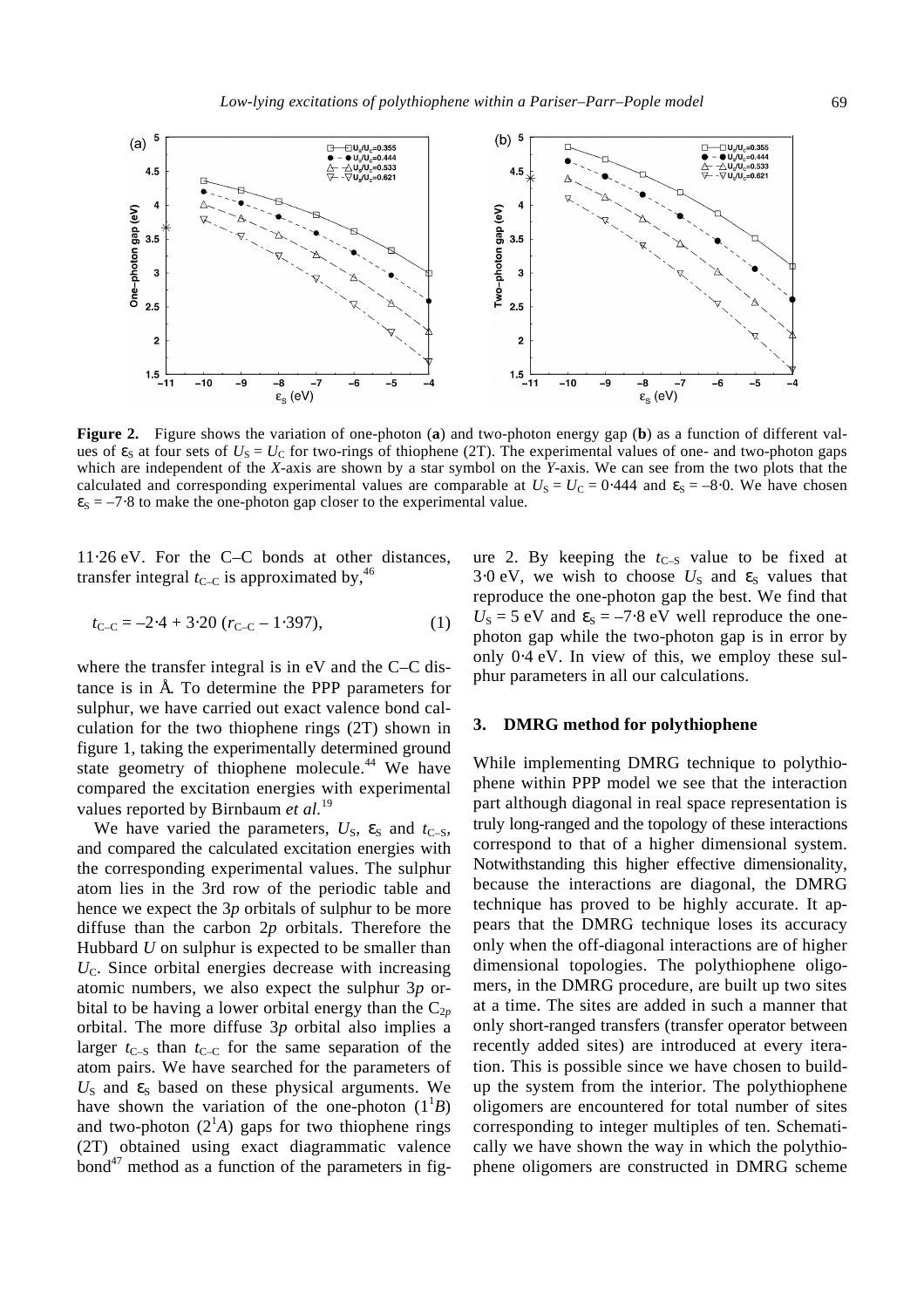

**Figure 2.** Figure shows the variation of one-photon (**a**) and two-photon energy gap (**b**) as a function of different values of  $e_S$  at four sets of  $U_S = U_C$  for two-rings of thiophene (2T). The experimental values of one- and two-photon gaps which are independent of the *X*-axis are shown by a star symbol on the *Y*-axis. We can see from the two plots that the calculated and corresponding experimental values are comparable at  $U<sub>S</sub> = U<sub>C</sub> = 0.444$  and  $e<sub>S</sub> = -8.0$ . We have chosen  $e_S = -7.8$  to make the one-photon gap closer to the experimental value.

11⋅26 eV. For the C–C bonds at other distances, transfer integral  $t_{C-C}$  is approximated by,<sup>46</sup>

$$
t_{\text{C-C}} = -2.4 + 3.20 (r_{\text{C-C}} - 1.397), \tag{1}
$$

where the transfer integral is in eV and the C–C distance is in Å. To determine the PPP parameters for sulphur, we have carried out exact valence bond calculation for the two thiophene rings (2T) shown in figure 1, taking the experimentally determined ground state geometry of thiophene molecule.<sup>44</sup> We have compared the excitation energies with experimental values reported by Birnbaum *et al.*<sup>19</sup>

We have varied the parameters,  $U_{\rm S}$ ,  $e_{\rm S}$  and  $t_{\rm C-S}$ , and compared the calculated excitation energies with the corresponding experimental values. The sulphur atom lies in the 3rd row of the periodic table and hence we expect the 3*p* orbitals of sulphur to be more diffuse than the carbon 2*p* orbitals. Therefore the Hubbard *U* on sulphur is expected to be smaller than  $U_{\rm C}$ . Since orbital energies decrease with increasing atomic numbers, we also expect the sulphur 3*p* orbital to be having a lower orbital energy than the  $C_{2p}$ orbital. The more diffuse 3*p* orbital also implies a larger  $t_{C-S}$  than  $t_{C-C}$  for the same separation of the atom pairs. We have searched for the parameters of  $U<sub>S</sub>$  and  $e<sub>S</sub>$  based on these physical arguments. We have shown the variation of the one-photon  $(1^1B)$ and two-photon  $(2<sup>1</sup>A)$  gaps for two thiophene rings (2T) obtained using exact diagrammatic valence bond $47$  method as a function of the parameters in fig-

ure 2. By keeping the  $t_{C-S}$  value to be fixed at  $3.0 \text{ eV}$ , we wish to choose  $U<sub>S</sub>$  and  $e<sub>S</sub>$  values that reproduce the one-photon gap the best. We find that  $U<sub>S</sub> = 5$  eV and  $e<sub>S</sub> = -7.8$  eV well reproduce the onephoton gap while the two-photon gap is in error by only 0⋅4 eV. In view of this, we employ these sulphur parameters in all our calculations.

#### **3. DMRG method for polythiophene**

While implementing DMRG technique to polythiophene within PPP model we see that the interaction part although diagonal in real space representation is truly long-ranged and the topology of these interactions correspond to that of a higher dimensional system. Notwithstanding this higher effective dimensionality, because the interactions are diagonal, the DMRG technique has proved to be highly accurate. It appears that the DMRG technique loses its accuracy only when the off-diagonal interactions are of higher dimensional topologies. The polythiophene oligomers, in the DMRG procedure, are built up two sites at a time. The sites are added in such a manner that only short-ranged transfers (transfer operator between recently added sites) are introduced at every iteration. This is possible since we have chosen to buildup the system from the interior. The polythiophene oligomers are encountered for total number of sites corresponding to integer multiples of ten. Schematically we have shown the way in which the polythiophene oligomers are constructed in DMRG scheme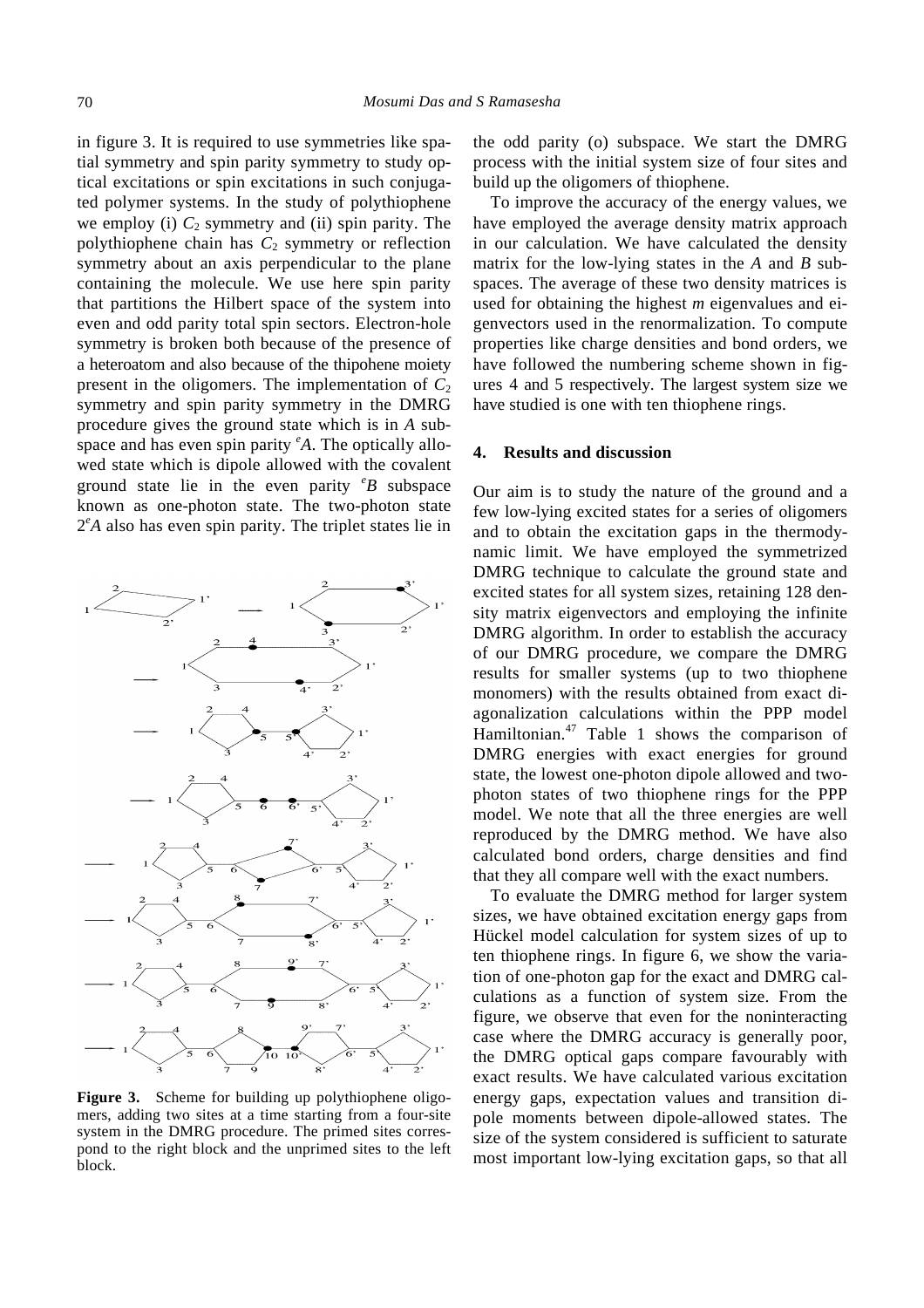in figure 3. It is required to use symmetries like spatial symmetry and spin parity symmetry to study optical excitations or spin excitations in such conjugated polymer systems. In the study of polythiophene we employ (i)  $C_2$  symmetry and (ii) spin parity. The polythiophene chain has  $C_2$  symmetry or reflection symmetry about an axis perpendicular to the plane containing the molecule. We use here spin parity that partitions the Hilbert space of the system into even and odd parity total spin sectors. Electron-hole symmetry is broken both because of the presence of a heteroatom and also because of the thipohene moiety present in the oligomers. The implementation of  $C_2$ symmetry and spin parity symmetry in the DMRG procedure gives the ground state which is in *A* subspace and has even spin parity *<sup>e</sup>A*. The optically allowed state which is dipole allowed with the covalent ground state lie in the even parity *<sup>e</sup>B* subspace known as one-photon state. The two-photon state 2 *<sup>e</sup>A* also has even spin parity. The triplet states lie in



Figure 3. Scheme for building up polythiophene oligomers, adding two sites at a time starting from a four-site system in the DMRG procedure. The primed sites correspond to the right block and the unprimed sites to the left block.

the odd parity (o) subspace. We start the DMRG process with the initial system size of four sites and build up the oligomers of thiophene.

To improve the accuracy of the energy values, we have employed the average density matrix approach in our calculation. We have calculated the density matrix for the low-lying states in the *A* and *B* subspaces. The average of these two density matrices is used for obtaining the highest *m* eigenvalues and eigenvectors used in the renormalization. To compute properties like charge densities and bond orders, we have followed the numbering scheme shown in figures 4 and 5 respectively. The largest system size we have studied is one with ten thiophene rings.

#### **4. Results and discussion**

Our aim is to study the nature of the ground and a few low-lying excited states for a series of oligomers and to obtain the excitation gaps in the thermodynamic limit. We have employed the symmetrized DMRG technique to calculate the ground state and excited states for all system sizes, retaining 128 density matrix eigenvectors and employing the infinite DMRG algorithm. In order to establish the accuracy of our DMRG procedure, we compare the DMRG results for smaller systems (up to two thiophene monomers) with the results obtained from exact diagonalization calculations within the PPP model Hamiltonian.<sup>47</sup> Table 1 shows the comparison of DMRG energies with exact energies for ground state, the lowest one-photon dipole allowed and twophoton states of two thiophene rings for the PPP model. We note that all the three energies are well reproduced by the DMRG method. We have also calculated bond orders, charge densities and find that they all compare well with the exact numbers.

To evaluate the DMRG method for larger system sizes, we have obtained excitation energy gaps from Hückel model calculation for system sizes of up to ten thiophene rings. In figure 6, we show the variation of one-photon gap for the exact and DMRG calculations as a function of system size. From the figure, we observe that even for the noninteracting case where the DMRG accuracy is generally poor, the DMRG optical gaps compare favourably with exact results. We have calculated various excitation energy gaps, expectation values and transition dipole moments between dipole-allowed states. The size of the system considered is sufficient to saturate most important low-lying excitation gaps, so that all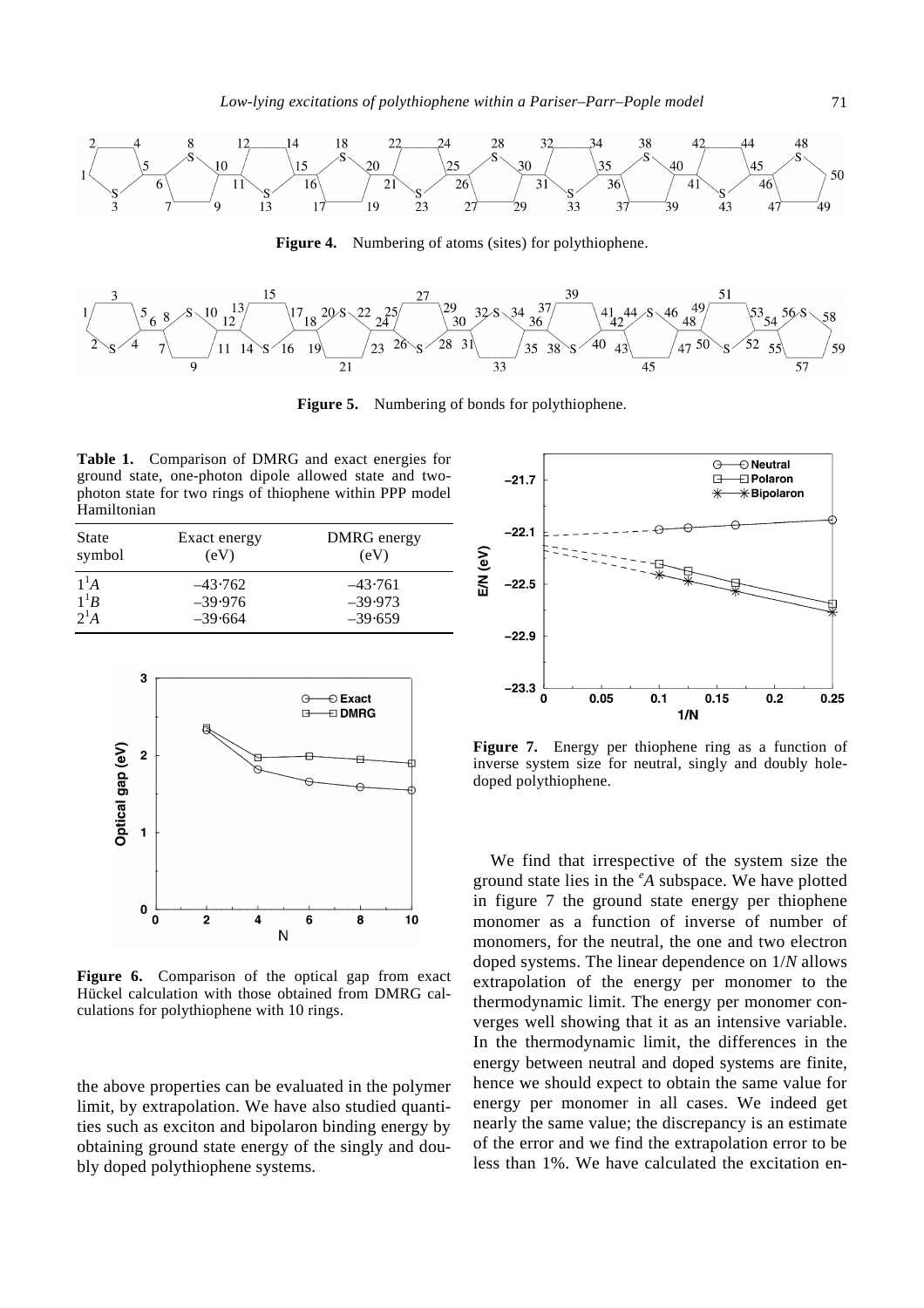

**Figure 4.** Numbering of atoms (sites) for polythiophene.



**Figure 5.** Numbering of bonds for polythiophene.

**Table 1.** Comparison of DMRG and exact energies for ground state, one-photon dipole allowed state and twophoton state for two rings of thiophene within PPP model Hamiltonian

| State  | Exact energy | DMRG energy |
|--------|--------------|-------------|
| symbol | (eV)         | (eV)        |
| $1^1A$ | $-43.762$    | $-43.761$   |
| $1^1B$ | $-39.976$    | $-39.973$   |
| $2^1A$ | $-39.664$    | $-39.659$   |



Figure 6. Comparison of the optical gap from exact Hückel calculation with those obtained from DMRG calculations for polythiophene with 10 rings.

the above properties can be evaluated in the polymer limit, by extrapolation. We have also studied quantities such as exciton and bipolaron binding energy by obtaining ground state energy of the singly and doubly doped polythiophene systems.



Figure 7. Energy per thiophene ring as a function of inverse system size for neutral, singly and doubly holedoped polythiophene.

We find that irrespective of the system size the ground state lies in the *<sup>e</sup>A* subspace. We have plotted in figure 7 the ground state energy per thiophene monomer as a function of inverse of number of monomers, for the neutral, the one and two electron doped systems. The linear dependence on 1/*N* allows extrapolation of the energy per monomer to the thermodynamic limit. The energy per monomer converges well showing that it as an intensive variable. In the thermodynamic limit, the differences in the energy between neutral and doped systems are finite, hence we should expect to obtain the same value for energy per monomer in all cases. We indeed get nearly the same value; the discrepancy is an estimate of the error and we find the extrapolation error to be less than 1%. We have calculated the excitation en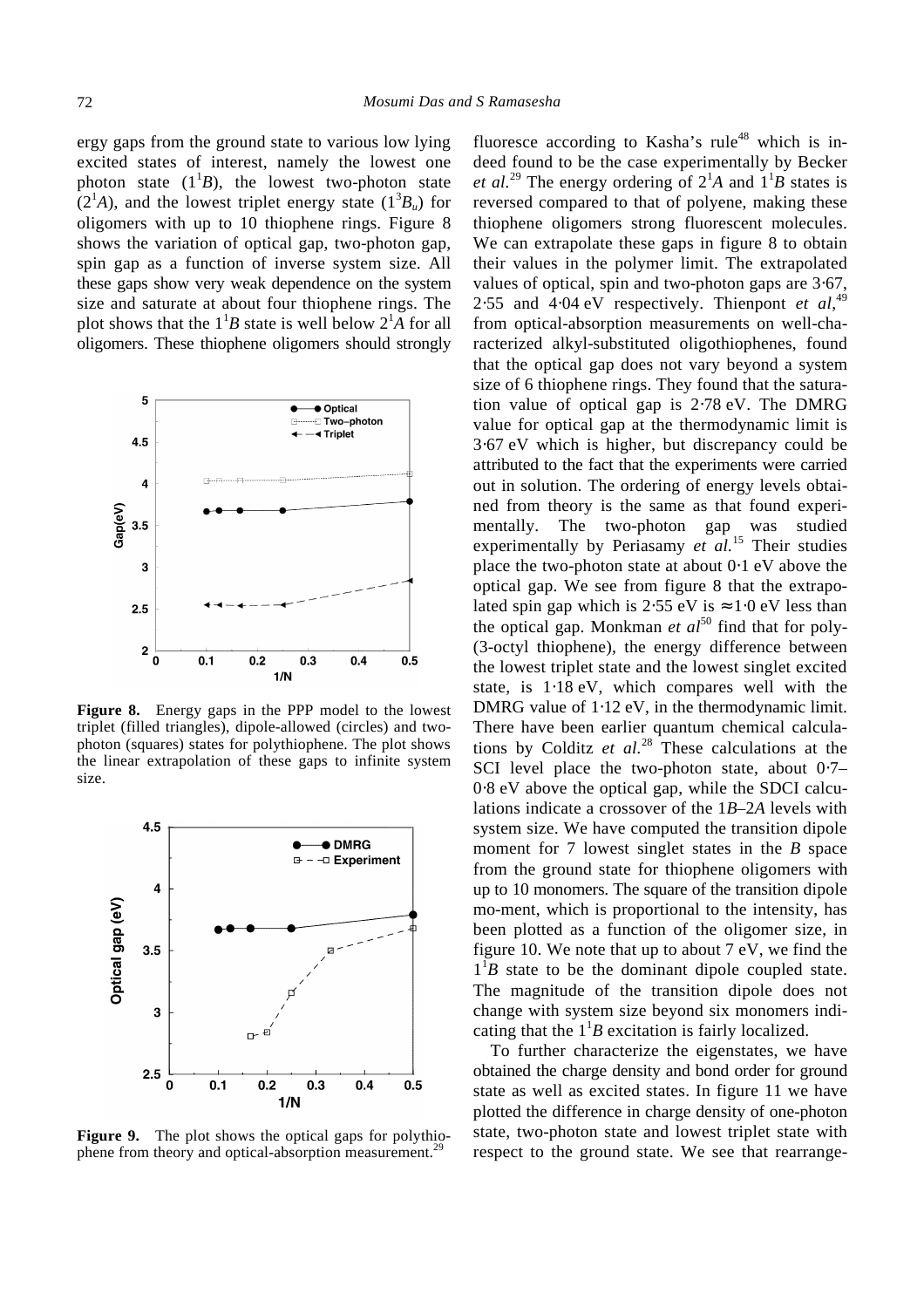ergy gaps from the ground state to various low lying excited states of interest, namely the lowest one photon state  $(1^1B)$ , the lowest two-photon state  $(2<sup>1</sup>A)$ , and the lowest triplet energy state  $(1<sup>3</sup>B<sub>u</sub>)$  for oligomers with up to 10 thiophene rings. Figure 8 shows the variation of optical gap, two-photon gap, spin gap as a function of inverse system size. All these gaps show very weak dependence on the system size and saturate at about four thiophene rings. The plot shows that the  $1^1B$  state is well below  $2^1A$  for all oligomers. These thiophene oligomers should strongly



**Figure 8.** Energy gaps in the PPP model to the lowest triplet (filled triangles), dipole-allowed (circles) and twophoton (squares) states for polythiophene. The plot shows the linear extrapolation of these gaps to infinite system size.



**Figure 9.** The plot shows the optical gaps for polythiophene from theory and optical-absorption measurement.<sup>29</sup>

fluoresce according to Kasha's rule<sup>48</sup> which is indeed found to be the case experimentally by Becker *et al.*<sup>29</sup> The energy ordering of  $2^1A$  and  $1^1B$  states is reversed compared to that of polyene, making these thiophene oligomers strong fluorescent molecules. We can extrapolate these gaps in figure 8 to obtain their values in the polymer limit. The extrapolated values of optical, spin and two-photon gaps are 3⋅67, 2⋅55 and  $4·04$  eV respectively. Thienpont *et al*,<sup>49</sup> from optical-absorption measurements on well-characterized alkyl-substituted oligothiophenes, found that the optical gap does not vary beyond a system size of 6 thiophene rings. They found that the saturation value of optical gap is 2⋅78 eV. The DMRG value for optical gap at the thermodynamic limit is 3⋅67 eV which is higher, but discrepancy could be attributed to the fact that the experiments were carried out in solution. The ordering of energy levels obtained from theory is the same as that found experimentally. The two-photon gap was studied experimentally by Periasamy *et al.*<sup>15</sup> Their studies place the two-photon state at about 0⋅1 eV above the optical gap. We see from figure 8 that the extrapolated spin gap which is  $2.55 \text{ eV}$  is  $\approx 1.0 \text{ eV}$  less than the optical gap. Monkman *et al*<sup>50</sup> find that for poly-(3-octyl thiophene), the energy difference between the lowest triplet state and the lowest singlet excited state, is 1⋅18 eV, which compares well with the DMRG value of 1⋅12 eV, in the thermodynamic limit. There have been earlier quantum chemical calculations by Colditz *et al.*<sup>28</sup> These calculations at the SCI level place the two-photon state, about 0.7– 0⋅8 eV above the optical gap, while the SDCI calculations indicate a crossover of the 1*B*–2*A* levels with system size. We have computed the transition dipole moment for 7 lowest singlet states in the *B* space from the ground state for thiophene oligomers with up to 10 monomers. The square of the transition dipole mo-ment, which is proportional to the intensity, has been plotted as a function of the oligomer size, in figure 10. We note that up to about 7 eV, we find the  $1^1B$  state to be the dominant dipole coupled state. The magnitude of the transition dipole does not change with system size beyond six monomers indicating that the  $1<sup>1</sup>B$  excitation is fairly localized.

To further characterize the eigenstates, we have obtained the charge density and bond order for ground state as well as excited states. In figure 11 we have plotted the difference in charge density of one-photon state, two-photon state and lowest triplet state with respect to the ground state. We see that rearrange-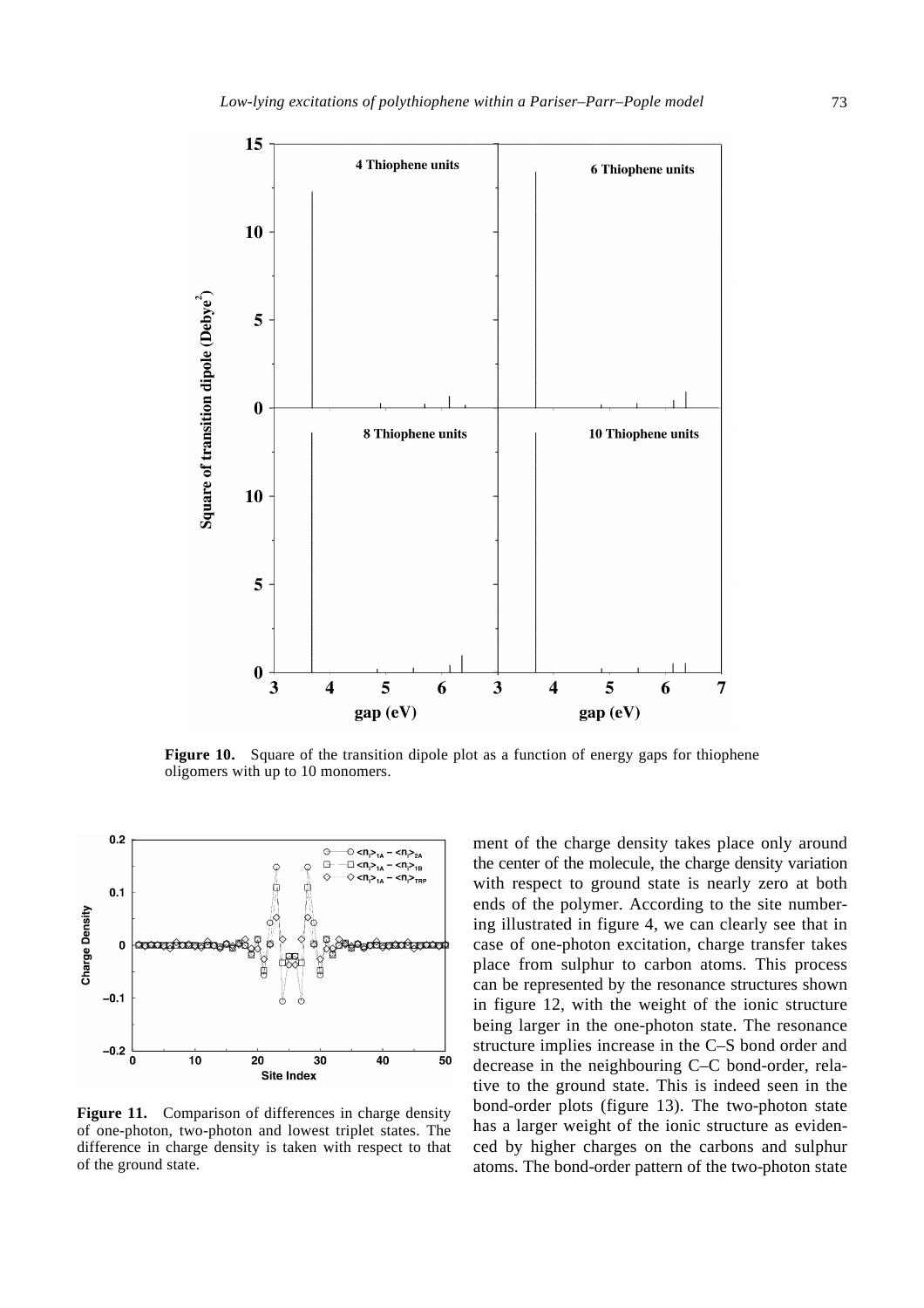

**Figure 10.** Square of the transition dipole plot as a function of energy gaps for thiophene oligomers with up to 10 monomers.



Figure 11. Comparison of differences in charge density of one-photon, two-photon and lowest triplet states. The difference in charge density is taken with respect to that of the ground state.

ment of the charge density takes place only around the center of the molecule, the charge density variation with respect to ground state is nearly zero at both ends of the polymer. According to the site numbering illustrated in figure 4, we can clearly see that in case of one-photon excitation, charge transfer takes place from sulphur to carbon atoms. This process can be represented by the resonance structures shown in figure 12, with the weight of the ionic structure being larger in the one-photon state. The resonance structure implies increase in the C–S bond order and decrease in the neighbouring C–C bond-order, relative to the ground state. This is indeed seen in the bond-order plots (figure 13). The two-photon state has a larger weight of the ionic structure as evidenced by higher charges on the carbons and sulphur atoms. The bond-order pattern of the two-photon state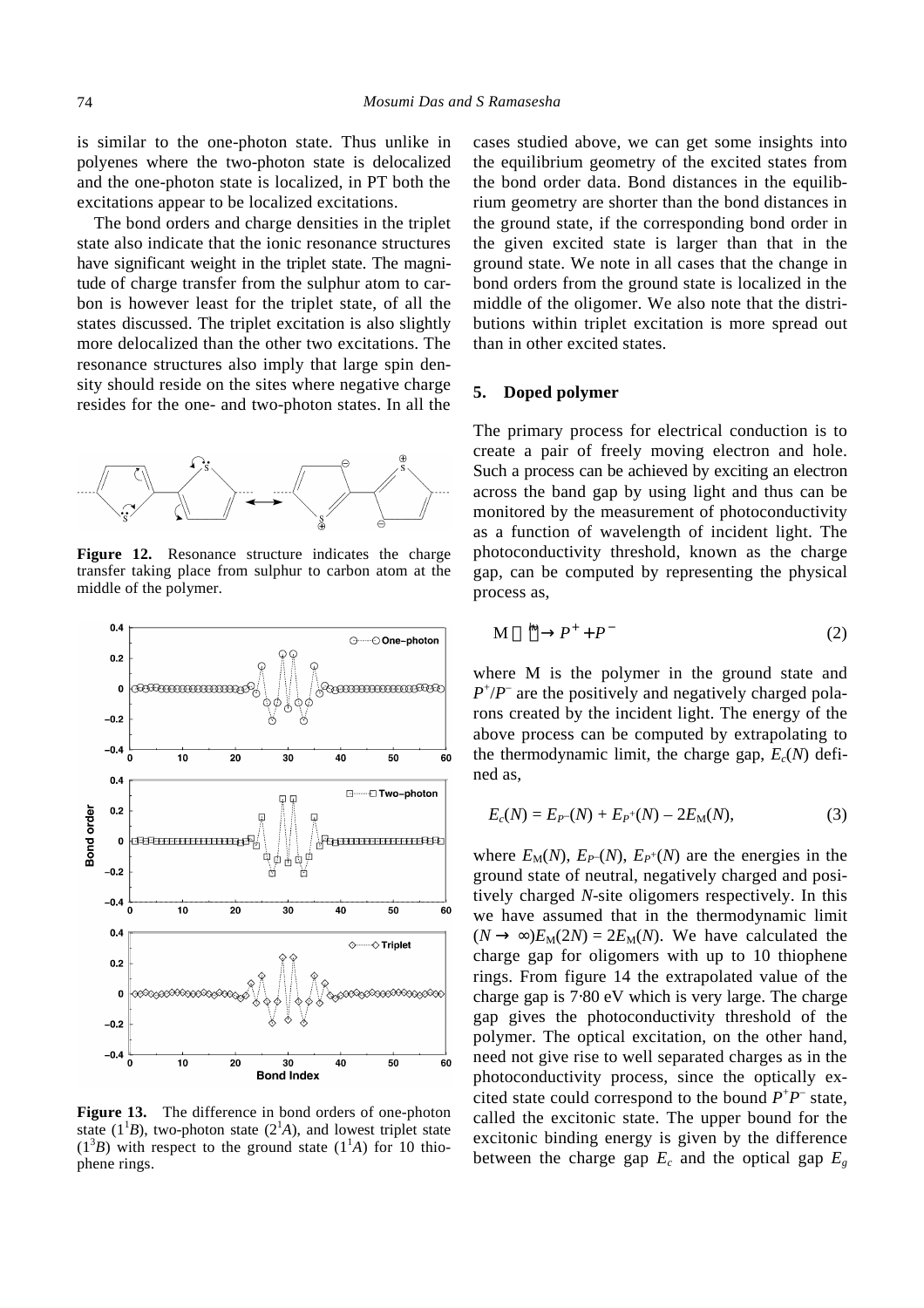is similar to the one-photon state. Thus unlike in polyenes where the two-photon state is delocalized and the one-photon state is localized, in PT both the excitations appear to be localized excitations.

The bond orders and charge densities in the triplet state also indicate that the ionic resonance structures have significant weight in the triplet state. The magnitude of charge transfer from the sulphur atom to carbon is however least for the triplet state, of all the states discussed. The triplet excitation is also slightly more delocalized than the other two excitations. The resonance structures also imply that large spin density should reside on the sites where negative charge resides for the one- and two-photon states. In all the



Figure 12. Resonance structure indicates the charge transfer taking place from sulphur to carbon atom at the middle of the polymer.



**Figure 13.** The difference in bond orders of one-photon state  $(1^1B)$ , two-photon state  $(2^1A)$ , and lowest triplet state  $(1^3B)$  with respect to the ground state  $(1^1A)$  for 10 thiophene rings.

cases studied above, we can get some insights into the equilibrium geometry of the excited states from the bond order data. Bond distances in the equilibrium geometry are shorter than the bond distances in the ground state, if the corresponding bond order in the given excited state is larger than that in the ground state. We note in all cases that the change in bond orders from the ground state is localized in the middle of the oligomer. We also note that the distributions within triplet excitation is more spread out than in other excited states.

#### **5. Doped polymer**

The primary process for electrical conduction is to create a pair of freely moving electron and hole. Such a process can be achieved by exciting an electron across the band gap by using light and thus can be monitored by the measurement of photoconductivity as a function of wavelength of incident light. The photoconductivity threshold, known as the charge gap, can be computed by representing the physical process as,

$$
M \xrightarrow{\text{hn}} P^+ + P^- \tag{2}
$$

where M is the polymer in the ground state and  $P^{\dagger}/P^{\dagger}$  are the positively and negatively charged polarons created by the incident light. The energy of the above process can be computed by extrapolating to the thermodynamic limit, the charge gap,  $E_c(N)$  defined as,

$$
E_c(N) = E_{P}(N) + E_{P}(N) - 2E_M(N), \qquad (3)
$$

where  $E_M(N)$ ,  $E_{P}(N)$ ,  $E_{P}(N)$  are the energies in the ground state of neutral, negatively charged and positively charged *N*-site oligomers respectively. In this we have assumed that in the thermodynamic limit  $(N \rightarrow \infty)E_M(2N) = 2E_M(N)$ . We have calculated the charge gap for oligomers with up to 10 thiophene rings. From figure 14 the extrapolated value of the charge gap is 7⋅80 eV which is very large. The charge gap gives the photoconductivity threshold of the polymer. The optical excitation, on the other hand, need not give rise to well separated charges as in the photoconductivity process, since the optically excited state could correspond to the bound  $P^+P^-$  state, called the excitonic state. The upper bound for the excitonic binding energy is given by the difference between the charge gap  $E_c$  and the optical gap  $E_g$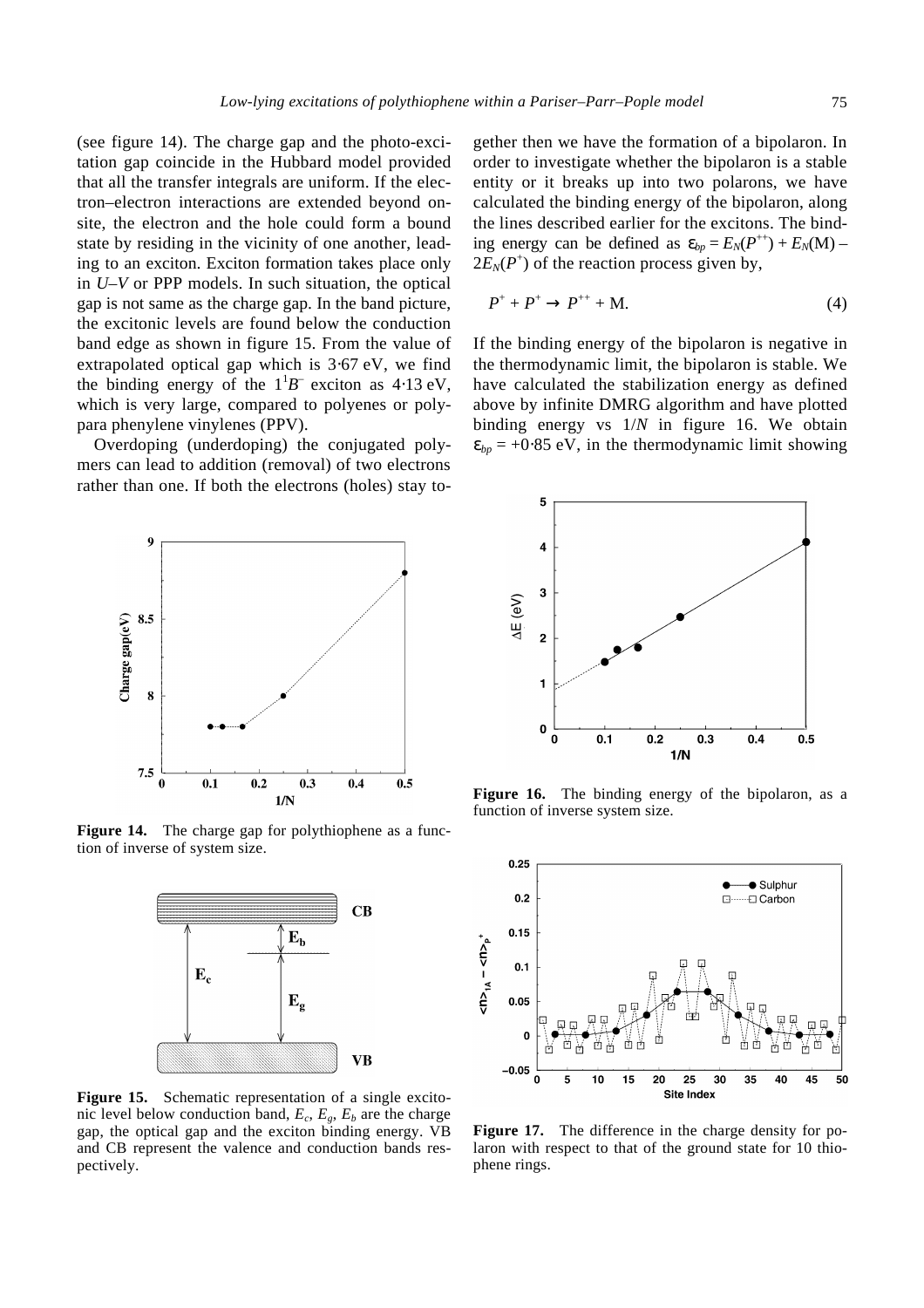(see figure 14). The charge gap and the photo-excitation gap coincide in the Hubbard model provided that all the transfer integrals are uniform. If the electron–electron interactions are extended beyond onsite, the electron and the hole could form a bound state by residing in the vicinity of one another, leading to an exciton. Exciton formation takes place only in *U–V* or PPP models. In such situation, the optical gap is not same as the charge gap. In the band picture, the excitonic levels are found below the conduction band edge as shown in figure 15. From the value of extrapolated optical gap which is 3⋅67 eV, we find the binding energy of the  $1^1B^-$  exciton as 4⋅13 eV, which is very large, compared to polyenes or polypara phenylene vinylenes (PPV).

Overdoping (underdoping) the conjugated polymers can lead to addition (removal) of two electrons rather than one. If both the electrons (holes) stay to-



**Figure 14.** The charge gap for polythiophene as a function of inverse of system size.



Figure 15. Schematic representation of a single excitonic level below conduction band,  $E_c$ ,  $E_g$ ,  $E_b$  are the charge gap, the optical gap and the exciton binding energy. VB and CB represent the valence and conduction bands respectively.

gether then we have the formation of a bipolaron. In order to investigate whether the bipolaron is a stable entity or it breaks up into two polarons, we have calculated the binding energy of the bipolaron, along the lines described earlier for the excitons. The binding energy can be defined as  $e_{bp} = E_N(P^{++}) + E_N(M)$  $2E_N(P^+)$  of the reaction process given by,

$$
P^+ + P^+ \to P^{++} + M. \tag{4}
$$

If the binding energy of the bipolaron is negative in the thermodynamic limit, the bipolaron is stable. We have calculated the stabilization energy as defined above by infinite DMRG algorithm and have plotted binding energy vs 1/*N* in figure 16. We obtain  $e_{bp}$  = +0⋅85 eV, in the thermodynamic limit showing



Figure 16. The binding energy of the bipolaron, as a function of inverse system size.



Figure 17. The difference in the charge density for polaron with respect to that of the ground state for 10 thiophene rings.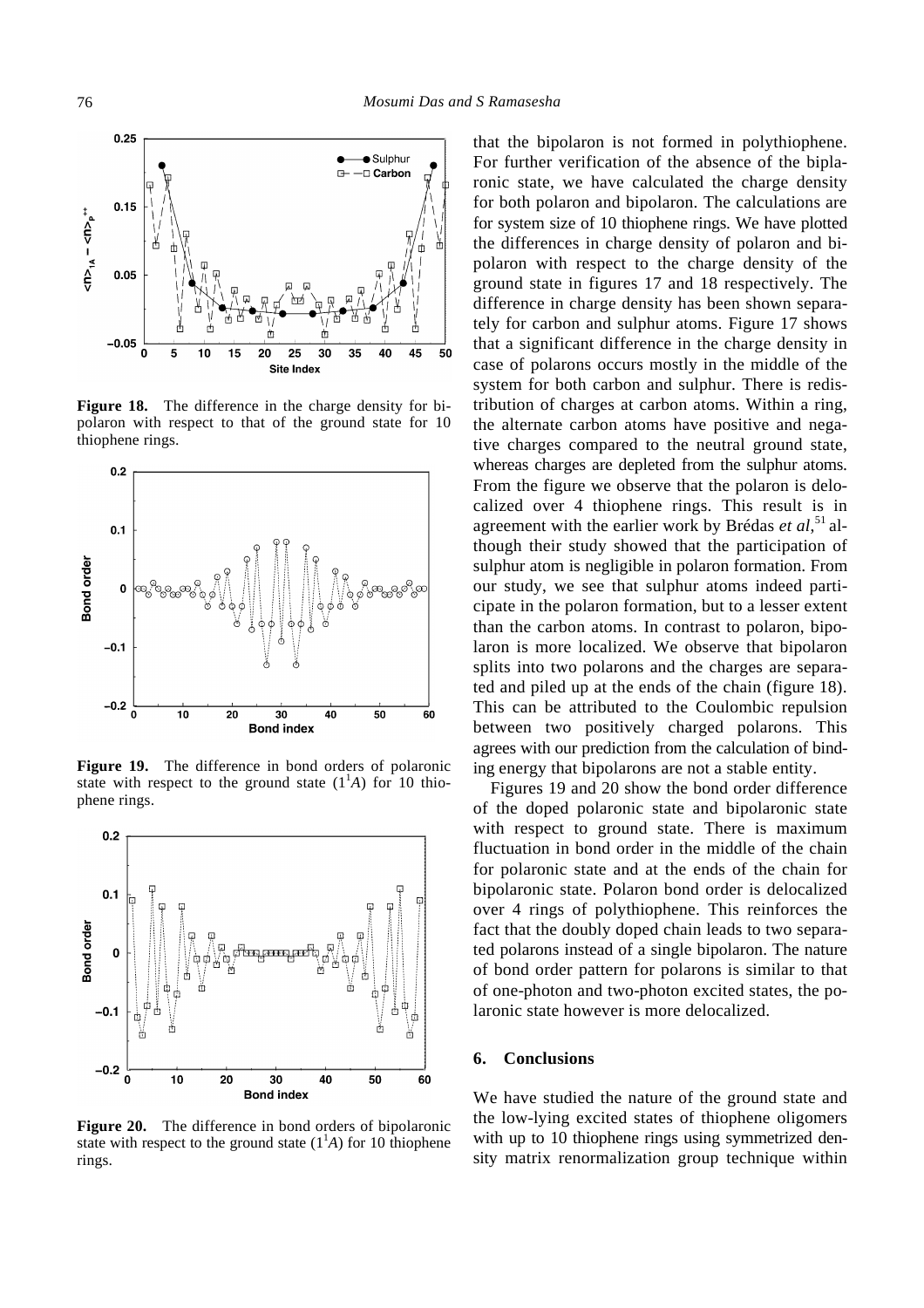

**Figure 18.** The difference in the charge density for bipolaron with respect to that of the ground state for 10 thiophene rings.



**Figure 19.** The difference in bond orders of polaronic state with respect to the ground state  $(1^1A)$  for 10 thiophene rings.



**Figure 20.** The difference in bond orders of bipolaronic state with respect to the ground state  $(1<sup>1</sup>A)$  for 10 thiophene rings.

that the bipolaron is not formed in polythiophene. For further verification of the absence of the biplaronic state, we have calculated the charge density for both polaron and bipolaron. The calculations are for system size of 10 thiophene rings. We have plotted the differences in charge density of polaron and bipolaron with respect to the charge density of the ground state in figures 17 and 18 respectively. The difference in charge density has been shown separately for carbon and sulphur atoms. Figure 17 shows that a significant difference in the charge density in case of polarons occurs mostly in the middle of the system for both carbon and sulphur. There is redistribution of charges at carbon atoms. Within a ring, the alternate carbon atoms have positive and negative charges compared to the neutral ground state, whereas charges are depleted from the sulphur atoms. From the figure we observe that the polaron is delocalized over 4 thiophene rings. This result is in agreement with the earlier work by Brédas *et al*, <sup>51</sup>although their study showed that the participation of sulphur atom is negligible in polaron formation. From our study, we see that sulphur atoms indeed participate in the polaron formation, but to a lesser extent than the carbon atoms. In contrast to polaron, bipolaron is more localized. We observe that bipolaron splits into two polarons and the charges are separated and piled up at the ends of the chain (figure 18). This can be attributed to the Coulombic repulsion between two positively charged polarons. This agrees with our prediction from the calculation of binding energy that bipolarons are not a stable entity.

Figures 19 and 20 show the bond order difference of the doped polaronic state and bipolaronic state with respect to ground state. There is maximum fluctuation in bond order in the middle of the chain for polaronic state and at the ends of the chain for bipolaronic state. Polaron bond order is delocalized over 4 rings of polythiophene. This reinforces the fact that the doubly doped chain leads to two separated polarons instead of a single bipolaron. The nature of bond order pattern for polarons is similar to that of one-photon and two-photon excited states, the polaronic state however is more delocalized.

#### **6. Conclusions**

We have studied the nature of the ground state and the low-lying excited states of thiophene oligomers with up to 10 thiophene rings using symmetrized density matrix renormalization group technique within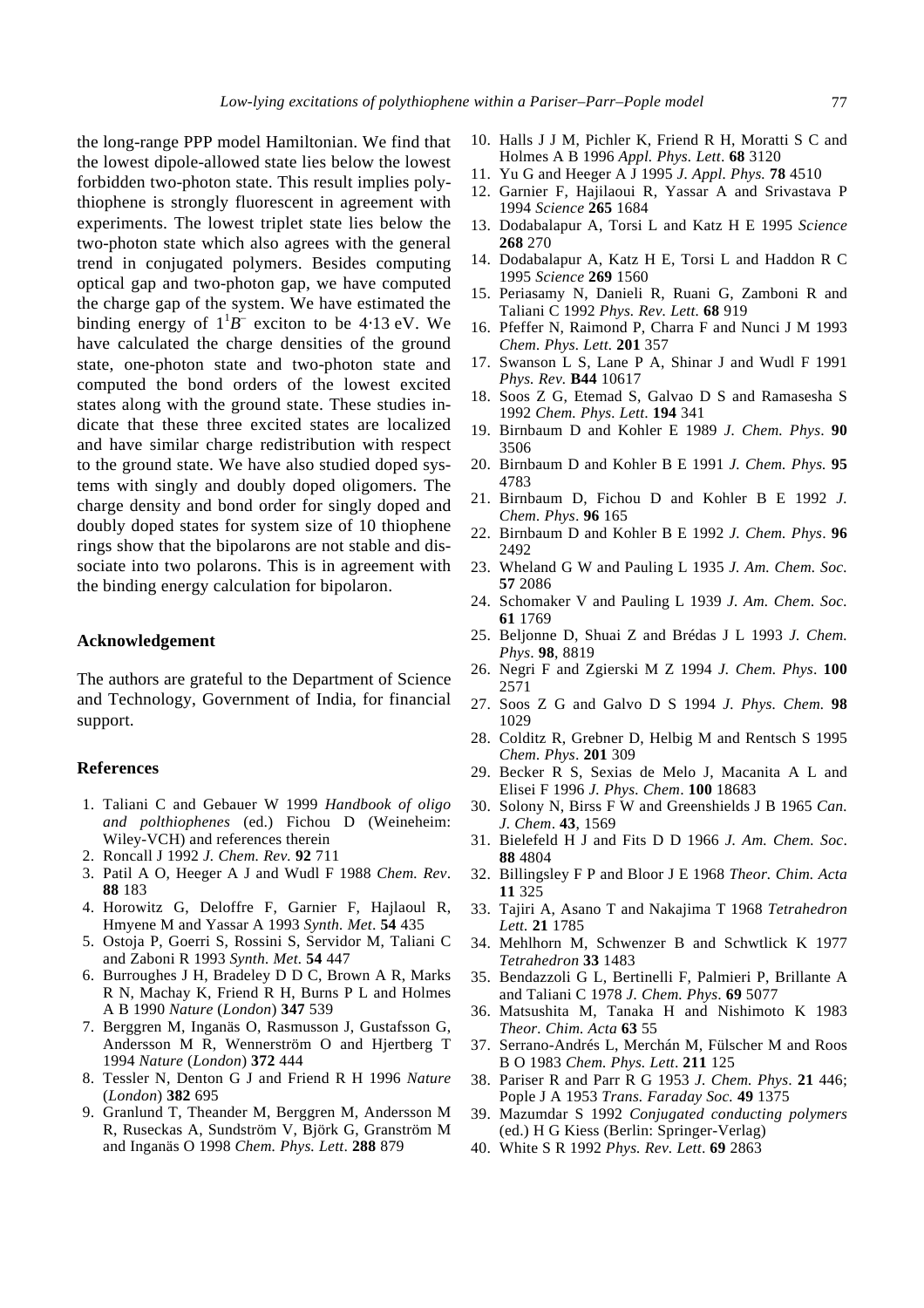the long-range PPP model Hamiltonian. We find that the lowest dipole-allowed state lies below the lowest forbidden two-photon state. This result implies polythiophene is strongly fluorescent in agreement with experiments. The lowest triplet state lies below the two-photon state which also agrees with the general trend in conjugated polymers. Besides computing optical gap and two-photon gap, we have computed the charge gap of the system. We have estimated the binding energy of  $1^1B^-$  exciton to be 4⋅13 eV. We have calculated the charge densities of the ground state, one-photon state and two-photon state and computed the bond orders of the lowest excited states along with the ground state. These studies indicate that these three excited states are localized and have similar charge redistribution with respect to the ground state. We have also studied doped systems with singly and doubly doped oligomers. The charge density and bond order for singly doped and doubly doped states for system size of 10 thiophene rings show that the bipolarons are not stable and dissociate into two polarons. This is in agreement with the binding energy calculation for bipolaron.

## **Acknowledgement**

The authors are grateful to the Department of Science and Technology, Government of India, for financial support.

#### **References**

- 1. Taliani C and Gebauer W 1999 *Handbook of oligo and polthiophenes* (ed.) Fichou D (Weineheim: Wiley-VCH) and references therein
- 2. Roncall J 1992 *J. Chem. Rev.* **92** 711
- 3. Patil A O, Heeger A J and Wudl F 1988 *Chem. Rev*. **88** 183
- 4. Horowitz G, Deloffre F, Garnier F, Hajlaoul R, Hmyene M and Yassar A 1993 *Synth. Met*. **54** 435
- 5. Ostoja P, Goerri S, Rossini S, Servidor M, Taliani C and Zaboni R 1993 *Synth. Met.* **54** 447
- 6. Burroughes J H, Bradeley D D C, Brown A R, Marks R N, Machay K, Friend R H, Burns P L and Holmes A B 1990 *Nature* (*London*) **347** 539
- 7. Berggren M, Inganäs O, Rasmusson J, Gustafsson G, Andersson M R, Wennerström O and Hjertberg T 1994 *Nature* (*London*) **372** 444
- 8. Tessler N, Denton G J and Friend R H 1996 *Nature*  (*London*) **382** 695
- 9. Granlund T, Theander M, Berggren M, Andersson M R, Ruseckas A, Sundström V, Björk G, Granström M and Inganäs O 1998 *Chem. Phys. Lett*. **288** 879
- 10. Halls J J M, Pichler K, Friend R H, Moratti S C and Holmes A B 1996 *Appl. Phys. Lett*. **68** 3120
- 11. Yu G and Heeger A J 1995 *J. Appl. Phys.* **78** 4510
- 12. Garnier F, Hajilaoui R, Yassar A and Srivastava P 1994 *Science* **265** 1684
- 13. Dodabalapur A, Torsi L and Katz H E 1995 *Science* **268** 270
- 14. Dodabalapur A, Katz H E, Torsi L and Haddon R C 1995 *Science* **269** 1560
- 15. Periasamy N, Danieli R, Ruani G, Zamboni R and Taliani C 1992 *Phys. Rev. Lett.* **68** 919
- 16. Pfeffer N, Raimond P, Charra F and Nunci J M 1993 *Chem. Phys. Lett.* **201** 357
- 17. Swanson L S, Lane P A, Shinar J and Wudl F 1991 *Phys. Rev.* **B44** 10617
- 18. Soos Z G, Etemad S, Galvao D S and Ramasesha S 1992 *Chem. Phys. Lett*. **194** 341
- 19. Birnbaum D and Kohler E 1989 *J. Chem. Phys*. **90** 3506
- 20. Birnbaum D and Kohler B E 1991 *J. Chem. Phys.* **95** 4783
- 21. Birnbaum D, Fichou D and Kohler B E 1992 *J. Chem. Phys*. **96** 165
- 22. Birnbaum D and Kohler B E 1992 *J. Chem. Phys*. **96** 2492
- 23. Wheland G W and Pauling L 1935 *J. Am. Chem. Soc.* **57** 2086
- 24. Schomaker V and Pauling L 1939 *J. Am. Chem. Soc.* **61** 1769
- 25. Beljonne D, Shuai Z and Brédas J L 1993 *J. Chem. Phys*. **98**, 8819
- 26. Negri F and Zgierski M Z 1994 *J. Chem. Phys*. **100** 2571
- 27. Soos Z G and Galvo D S 1994 *J. Phys. Chem.* **98** 1029
- 28. Colditz R, Grebner D, Helbig M and Rentsch S 1995 *Chem. Phys*. **201** 309
- 29. Becker R S, Sexias de Melo J, Macanita A L and Elisei F 1996 *J. Phys. Chem*. **100** 18683
- 30. Solony N, Birss F W and Greenshields J B 1965 *Can. J. Chem*. **43**, 1569
- 31. Bielefeld H J and Fits D D 1966 *J. Am. Chem. Soc*. **88** 4804
- 32. Billingsley F P and Bloor J E 1968 *Theor. Chim. Acta* **11** 325
- 33. Tajiri A, Asano T and Nakajima T 1968 *Tetrahedron Lett.* **21** 1785
- 34. Mehlhorn M, Schwenzer B and Schwtlick K 1977 *Tetrahedron* **33** 1483
- 35. Bendazzoli G L, Bertinelli F, Palmieri P, Brillante A and Taliani C 1978 *J. Chem. Phys*. **69** 5077
- 36. Matsushita M, Tanaka H and Nishimoto K 1983 *Theor. Chim. Acta* **63** 55
- 37. Serrano-Andrés L, Merchán M, Fülscher M and Roos B O 1983 *Chem. Phys. Lett*. **211** 125
- 38. Pariser R and Parr R G 1953 *J. Chem. Phys*. **21** 446; Pople J A 1953 *Trans. Faraday Soc.* **49** 1375
- 39. Mazumdar S 1992 *Conjugated conducting polymers* (ed.) H G Kiess (Berlin: Springer-Verlag)
- 40. White S R 1992 *Phys. Rev. Lett*. **69** 2863